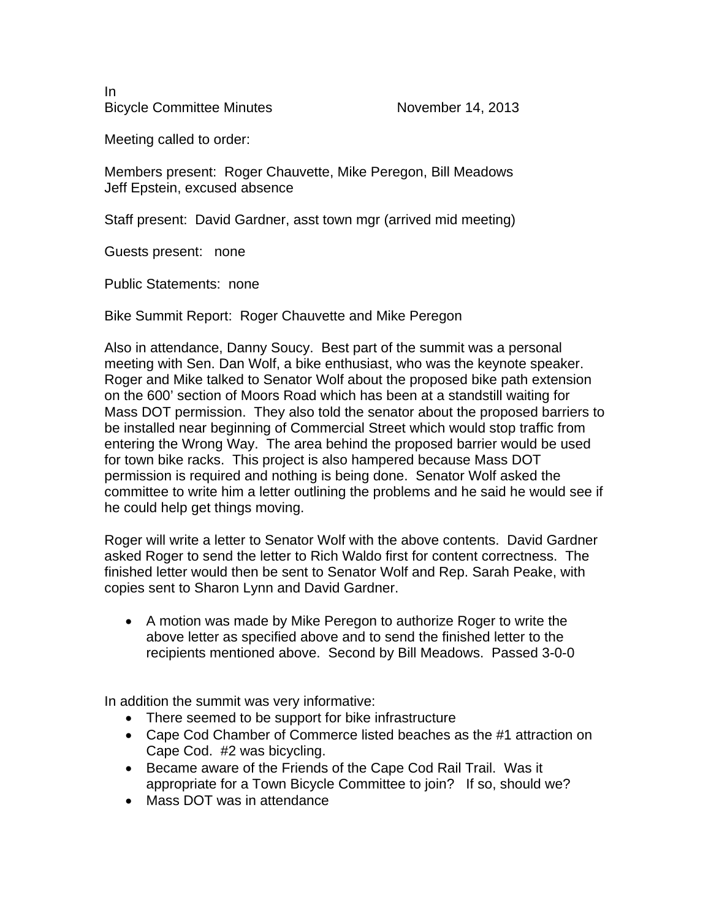In Bicycle Committee Minutes November 14, 2013

Meeting called to order:

Members present: Roger Chauvette, Mike Peregon, Bill Meadows Jeff Epstein, excused absence

Staff present: David Gardner, asst town mgr (arrived mid meeting)

Guests present: none

Public Statements: none

Bike Summit Report: Roger Chauvette and Mike Peregon

Also in attendance, Danny Soucy. Best part of the summit was a personal meeting with Sen. Dan Wolf, a bike enthusiast, who was the keynote speaker. Roger and Mike talked to Senator Wolf about the proposed bike path extension on the 600' section of Moors Road which has been at a standstill waiting for Mass DOT permission. They also told the senator about the proposed barriers to be installed near beginning of Commercial Street which would stop traffic from entering the Wrong Way. The area behind the proposed barrier would be used for town bike racks. This project is also hampered because Mass DOT permission is required and nothing is being done. Senator Wolf asked the committee to write him a letter outlining the problems and he said he would see if he could help get things moving.

Roger will write a letter to Senator Wolf with the above contents. David Gardner asked Roger to send the letter to Rich Waldo first for content correctness. The finished letter would then be sent to Senator Wolf and Rep. Sarah Peake, with copies sent to Sharon Lynn and David Gardner.

 A motion was made by Mike Peregon to authorize Roger to write the above letter as specified above and to send the finished letter to the recipients mentioned above. Second by Bill Meadows. Passed 3-0-0

In addition the summit was very informative:

- There seemed to be support for bike infrastructure
- Cape Cod Chamber of Commerce listed beaches as the #1 attraction on Cape Cod. #2 was bicycling.
- Became aware of the Friends of the Cape Cod Rail Trail. Was it appropriate for a Town Bicycle Committee to join? If so, should we?
- Mass DOT was in attendance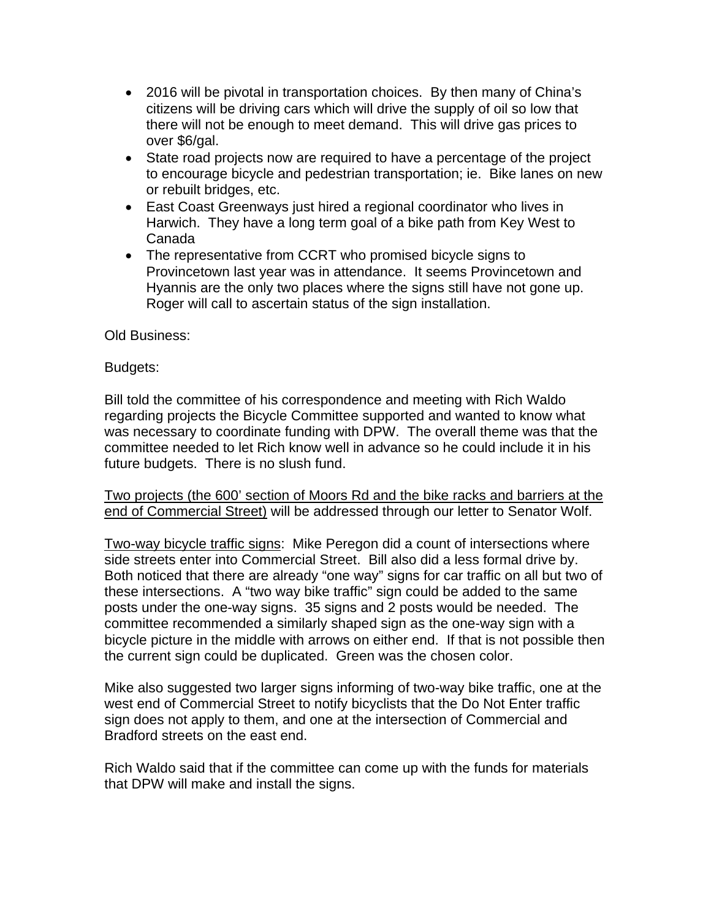- 2016 will be pivotal in transportation choices. By then many of China's citizens will be driving cars which will drive the supply of oil so low that there will not be enough to meet demand. This will drive gas prices to over \$6/gal.
- State road projects now are required to have a percentage of the project to encourage bicycle and pedestrian transportation; ie. Bike lanes on new or rebuilt bridges, etc.
- East Coast Greenways just hired a regional coordinator who lives in Harwich. They have a long term goal of a bike path from Key West to Canada
- The representative from CCRT who promised bicycle signs to Provincetown last year was in attendance. It seems Provincetown and Hyannis are the only two places where the signs still have not gone up. Roger will call to ascertain status of the sign installation.

Old Business:

## Budgets:

Bill told the committee of his correspondence and meeting with Rich Waldo regarding projects the Bicycle Committee supported and wanted to know what was necessary to coordinate funding with DPW. The overall theme was that the committee needed to let Rich know well in advance so he could include it in his future budgets. There is no slush fund.

Two projects (the 600' section of Moors Rd and the bike racks and barriers at the end of Commercial Street) will be addressed through our letter to Senator Wolf.

Two-way bicycle traffic signs: Mike Peregon did a count of intersections where side streets enter into Commercial Street. Bill also did a less formal drive by. Both noticed that there are already "one way" signs for car traffic on all but two of these intersections. A "two way bike traffic" sign could be added to the same posts under the one-way signs. 35 signs and 2 posts would be needed. The committee recommended a similarly shaped sign as the one-way sign with a bicycle picture in the middle with arrows on either end. If that is not possible then the current sign could be duplicated. Green was the chosen color.

Mike also suggested two larger signs informing of two-way bike traffic, one at the west end of Commercial Street to notify bicyclists that the Do Not Enter traffic sign does not apply to them, and one at the intersection of Commercial and Bradford streets on the east end.

Rich Waldo said that if the committee can come up with the funds for materials that DPW will make and install the signs.